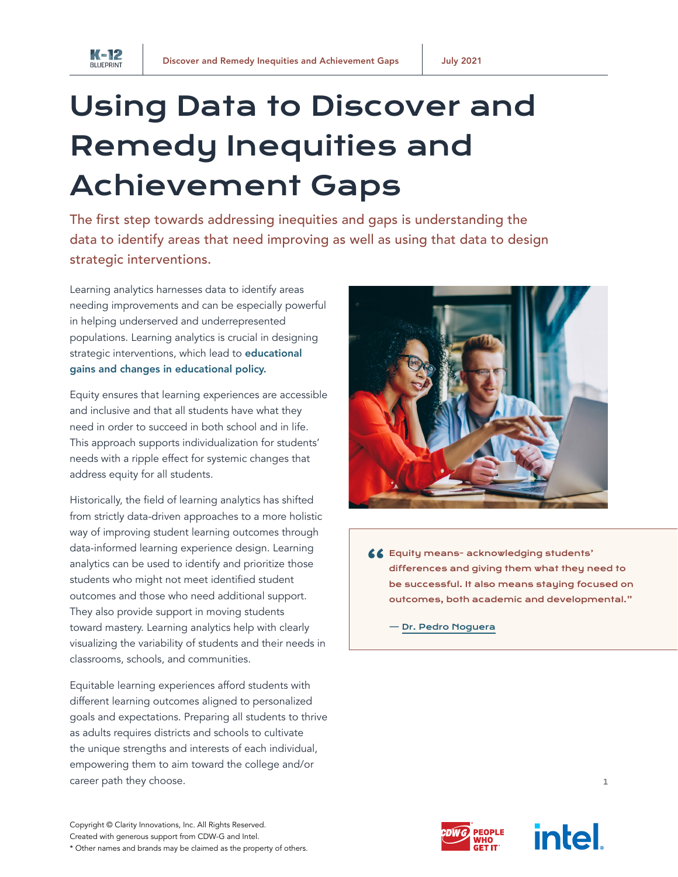



The first step towards addressing inequities and gaps is understanding the data to identify areas that need improving as well as using that data to design strategic interventions.

Learning analytics harnesses data to identify areas needing improvements and can be especially powerful in helping underserved and underrepresented populations. Learning analytics is crucial in designing strategic interventions, which lead to educational [gains and changes in educational policy.](https://learninganalytics.education.wisc.edu/commitment-to-equity/)

K-12

Equity ensures that learning experiences are accessible and inclusive and that all students have what they need in order to succeed in both school and in life. This approach supports individualization for students' needs with a ripple effect for systemic changes that address equity for all students.

Historically, the field of learning analytics has shifted from strictly data-driven approaches to a more holistic way of improving student learning outcomes through data-informed learning experience design. Learning analytics can be used to identify and prioritize those students who might not meet identified student outcomes and those who need additional support. They also provide support in moving students toward mastery. Learning analytics help with clearly visualizing the variability of students and their needs in classrooms, schools, and communities.

Equitable learning experiences afford students with different learning outcomes aligned to personalized goals and expectations. Preparing all students to thrive as adults requires districts and schools to cultivate the unique strengths and interests of each individual, empowering them to aim toward the college and/or career path they choose.



" Equity means- acknowledging students' differences and giving them what they need to be successful. It also means staying focused on outcomes, both academic and developmental."

— [Dr. Pedro Noguera](https://holdsworthcenter.org/blog/equity-isnt-just-a-slogan/)







1